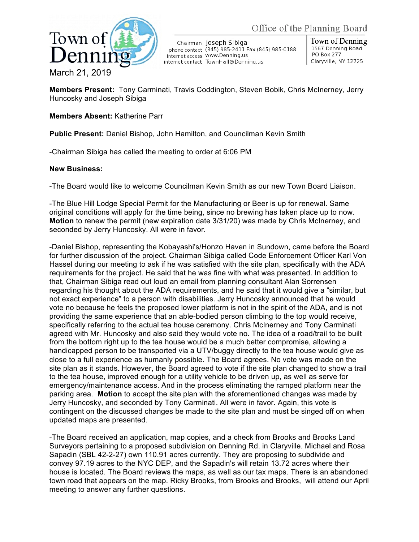



Chairman Joseph Sibiga phone contact (845) 985-2411 Fax (845) 985-0188 internet access WWW.Denning.us internet contact TownHall@Denning.us

Town of Denning 1567 Denning Road **PO Box 277** Claryville, NY 12725

**Members Present:** Tony Carminati, Travis Coddington, Steven Bobik, Chris McInerney, Jerry Huncosky and Joseph Sibiga

## **Members Absent:** Katherine Parr

**Public Present:** Daniel Bishop, John Hamilton, and Councilman Kevin Smith

-Chairman Sibiga has called the meeting to order at 6:06 PM

## **New Business:**

-The Board would like to welcome Councilman Kevin Smith as our new Town Board Liaison.

-The Blue Hill Lodge Special Permit for the Manufacturing or Beer is up for renewal. Same original conditions will apply for the time being, since no brewing has taken place up to now. **Motion** to renew the permit (new expiration date 3/31/20) was made by Chris McInerney, and seconded by Jerry Huncosky. All were in favor.

-Daniel Bishop, representing the Kobayashi's/Honzo Haven in Sundown, came before the Board for further discussion of the project. Chairman Sibiga called Code Enforcement Officer Karl Von Hassel during our meeting to ask if he was satisfied with the site plan, specifically with the ADA requirements for the project. He said that he was fine with what was presented. In addition to that, Chairman Sibiga read out loud an email from planning consultant Alan Sorrensen regarding his thought about the ADA requirements, and he said that it would give a "similar, but not exact experience" to a person with disabilities. Jerry Huncosky announced that he would vote no because he feels the proposed lower platform is not in the spirit of the ADA, and is not providing the same experience that an able-bodied person climbing to the top would receive, specifically referring to the actual tea house ceremony. Chris McInerney and Tony Carminati agreed with Mr. Huncosky and also said they would vote no. The idea of a road/trail to be built from the bottom right up to the tea house would be a much better compromise, allowing a handicapped person to be transported via a UTV/buggy directly to the tea house would give as close to a full experience as humanly possible. The Board agrees. No vote was made on the site plan as it stands. However, the Board agreed to vote if the site plan changed to show a trail to the tea house, improved enough for a utility vehicle to be driven up, as well as serve for emergency/maintenance access. And in the process eliminating the ramped platform near the parking area. **Motion** to accept the site plan with the aforementioned changes was made by Jerry Huncosky, and seconded by Tony Carminati. All were in favor. Again, this vote is contingent on the discussed changes be made to the site plan and must be singed off on when updated maps are presented.

-The Board received an application, map copies, and a check from Brooks and Brooks Land Surveyors pertaining to a proposed subdivision on Denning Rd. in Claryville. Michael and Rosa Sapadin (SBL 42-2-27) own 110.91 acres currently. They are proposing to subdivide and convey 97.19 acres to the NYC DEP, and the Sapadin's will retain 13.72 acres where their house is located. The Board reviews the maps, as well as our tax maps. There is an abandoned town road that appears on the map. Ricky Brooks, from Brooks and Brooks, will attend our April meeting to answer any further questions.